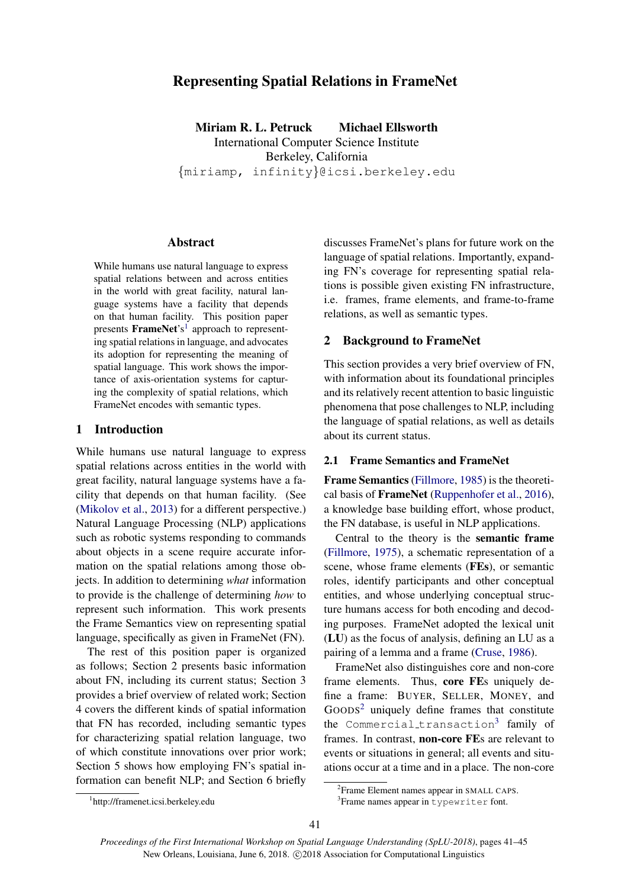# Representing Spatial Relations in FrameNet

Miriam R. L. Petruck Michael Ellsworth International Computer Science Institute Berkeley, California {miriamp, infinity}@icsi.berkeley.edu

### Abstract

While humans use natural language to express spatial relations between and across entities in the world with great facility, natural language systems have a facility that depends on that human facility. This position paper presents FrameNet's<sup>1</sup> approach to representing spatial relations in language, and advocates its adoption for representing the meaning of spatial language. This work shows the importance of axis-orientation systems for capturing the complexity of spatial relations, which FrameNet encodes with semantic types.

### 1 Introduction

While humans use natural language to express spatial relations across entities in the world with great facility, natural language systems have a facility that depends on that human facility. (See (Mikolov et al., 2013) for a different perspective.) Natural Language Processing (NLP) applications such as robotic systems responding to commands about objects in a scene require accurate information on the spatial relations among those objects. In addition to determining *what* information to provide is the challenge of determining *how* to represent such information. This work presents the Frame Semantics view on representing spatial language, specifically as given in FrameNet (FN).

The rest of this position paper is organized as follows; Section 2 presents basic information about FN, including its current status; Section 3 provides a brief overview of related work; Section 4 covers the different kinds of spatial information that FN has recorded, including semantic types for characterizing spatial relation language, two of which constitute innovations over prior work; Section 5 shows how employing FN's spatial information can benefit NLP; and Section 6 briefly

discusses FrameNet's plans for future work on the language of spatial relations. Importantly, expanding FN's coverage for representing spatial relations is possible given existing FN infrastructure, i.e. frames, frame elements, and frame-to-frame relations, as well as semantic types.

# 2 Background to FrameNet

This section provides a very brief overview of FN, with information about its foundational principles and its relatively recent attention to basic linguistic phenomena that pose challenges to NLP, including the language of spatial relations, as well as details about its current status.

#### 2.1 Frame Semantics and FrameNet

Frame Semantics (Fillmore, 1985) is the theoretical basis of FrameNet (Ruppenhofer et al., 2016), a knowledge base building effort, whose product, the FN database, is useful in NLP applications.

Central to the theory is the semantic frame (Fillmore, 1975), a schematic representation of a scene, whose frame elements (FEs), or semantic roles, identify participants and other conceptual entities, and whose underlying conceptual structure humans access for both encoding and decoding purposes. FrameNet adopted the lexical unit (LU) as the focus of analysis, defining an LU as a pairing of a lemma and a frame (Cruse, 1986).

FrameNet also distinguishes core and non-core frame elements. Thus, core FEs uniquely define a frame: BUYER, SELLER, MONEY, and  $Goobs<sup>2</sup>$  uniquely define frames that constitute the Commercial\_transaction<sup>3</sup> family of frames. In contrast, non-core FEs are relevant to events or situations in general; all events and situations occur at a time and in a place. The non-core

<sup>1</sup> http://framenet.icsi.berkeley.edu

<sup>&</sup>lt;sup>2</sup> Frame Element names appear in SMALL CAPS.

<sup>3</sup> Frame names appear in typewriter font.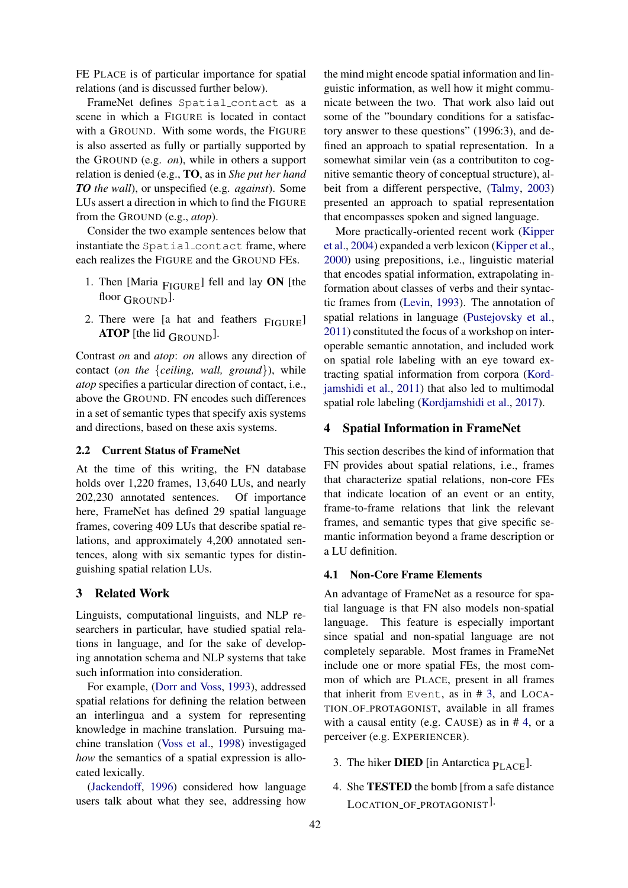FE PLACE is of particular importance for spatial relations (and is discussed further below).

FrameNet defines Spatial contact as a scene in which a FIGURE is located in contact with a GROUND. With some words, the FIGURE is also asserted as fully or partially supported by the GROUND (e.g. *on*), while in others a support relation is denied (e.g., TO, as in *She put her hand TO the wall*), or unspecified (e.g. *against*). Some LUs assert a direction in which to find the FIGURE from the GROUND (e.g., *atop*).

Consider the two example sentences below that instantiate the Spatial contact frame, where each realizes the FIGURE and the GROUND FEs.

- 1. Then [Maria  $_{\text{FIGURE}}$ ] fell and lay ON [the floor  $G_{\text{ROUND}}$ ].
- 2. There were [a hat and feathers FIGURE] **ATOP** [the lid  $_{\text{GROUND}}$ ].

Contrast *on* and *atop*: *on* allows any direction of contact (*on the* {*ceiling, wall, ground*}), while *atop* specifies a particular direction of contact, i.e., above the GROUND. FN encodes such differences in a set of semantic types that specify axis systems and directions, based on these axis systems.

### 2.2 Current Status of FrameNet

At the time of this writing, the FN database holds over 1,220 frames, 13,640 LUs, and nearly 202,230 annotated sentences. Of importance here, FrameNet has defined 29 spatial language frames, covering 409 LUs that describe spatial relations, and approximately 4,200 annotated sentences, along with six semantic types for distinguishing spatial relation LUs.

# 3 Related Work

Linguists, computational linguists, and NLP researchers in particular, have studied spatial relations in language, and for the sake of developing annotation schema and NLP systems that take such information into consideration.

For example, (Dorr and Voss, 1993), addressed spatial relations for defining the relation between an interlingua and a system for representing knowledge in machine translation. Pursuing machine translation (Voss et al., 1998) investigaged *how* the semantics of a spatial expression is allocated lexically.

(Jackendoff, 1996) considered how language users talk about what they see, addressing how

the mind might encode spatial information and linguistic information, as well how it might communicate between the two. That work also laid out some of the "boundary conditions for a satisfactory answer to these questions" (1996:3), and defined an approach to spatial representation. In a somewhat similar vein (as a contributiton to cognitive semantic theory of conceptual structure), albeit from a different perspective, (Talmy, 2003) presented an approach to spatial representation that encompasses spoken and signed language.

More practically-oriented recent work (Kipper et al., 2004) expanded a verb lexicon (Kipper et al., 2000) using prepositions, i.e., linguistic material that encodes spatial information, extrapolating information about classes of verbs and their syntactic frames from (Levin, 1993). The annotation of spatial relations in language (Pustejovsky et al., 2011) constituted the focus of a workshop on interoperable semantic annotation, and included work on spatial role labeling with an eye toward extracting spatial information from corpora (Kordjamshidi et al., 2011) that also led to multimodal spatial role labeling (Kordjamshidi et al., 2017).

#### 4 Spatial Information in FrameNet

This section describes the kind of information that FN provides about spatial relations, i.e., frames that characterize spatial relations, non-core FEs that indicate location of an event or an entity, frame-to-frame relations that link the relevant frames, and semantic types that give specific semantic information beyond a frame description or a LU definition.

### 4.1 Non-Core Frame Elements

An advantage of FrameNet as a resource for spatial language is that FN also models non-spatial language. This feature is especially important since spatial and non-spatial language are not completely separable. Most frames in FrameNet include one or more spatial FEs, the most common of which are PLACE, present in all frames that inherit from Event, as in # 3, and LOCA-TION OF PROTAGONIST, available in all frames with a causal entity (e.g. CAUSE) as in # 4, or a perceiver (e.g. EXPERIENCER).

- 3. The hiker **DIED** [in Antarctica  $P_{\text{LATE}}$ ].
- 4. She TESTED the bomb [from a safe distance LOCATION OF PROTAGONIST<sup>J.</sup>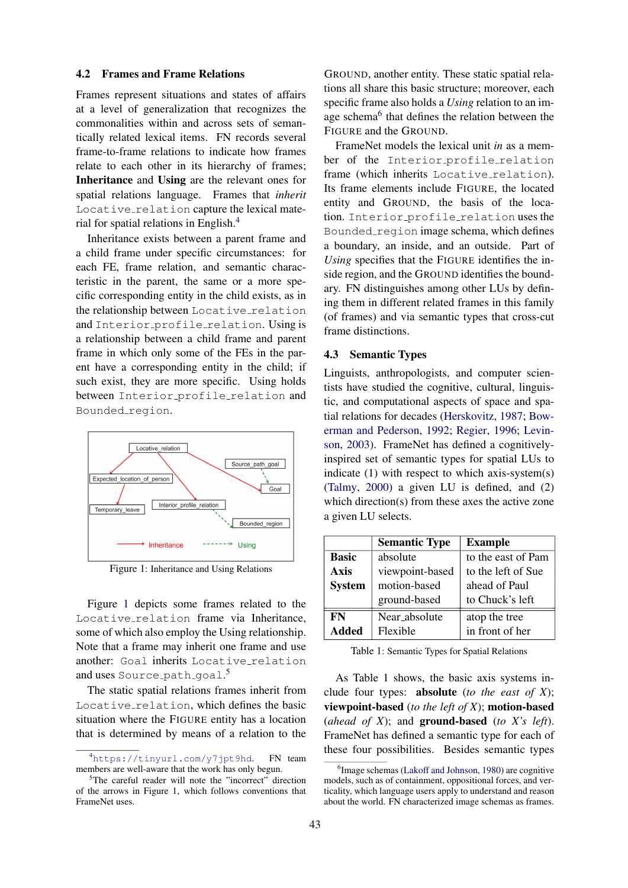#### 4.2 Frames and Frame Relations

Frames represent situations and states of affairs at a level of generalization that recognizes the commonalities within and across sets of semantically related lexical items. FN records several frame-to-frame relations to indicate how frames relate to each other in its hierarchy of frames; Inheritance and Using are the relevant ones for spatial relations language. Frames that *inherit* Locative\_relation capture the lexical material for spatial relations in English.<sup>4</sup>

Inheritance exists between a parent frame and a child frame under specific circumstances: for each FE, frame relation, and semantic characteristic in the parent, the same or a more specific corresponding entity in the child exists, as in the relationship between Locative relation and Interior profile relation. Using is a relationship between a child frame and parent frame in which only some of the FEs in the parent have a corresponding entity in the child; if such exist, they are more specific. Using holds between Interior\_profile\_relation and Bounded\_region.



Figure 1: Inheritance and Using Relations

Figure 1 depicts some frames related to the Locative relation frame via Inheritance, some of which also employ the Using relationship. Note that a frame may inherit one frame and use another: Goal inherits Locative\_relation and uses Source\_path\_goal.<sup>5</sup>

The static spatial relations frames inherit from Locative relation, which defines the basic situation where the FIGURE entity has a location that is determined by means of a relation to the GROUND, another entity. These static spatial relations all share this basic structure; moreover, each specific frame also holds a *Using* relation to an image schema<sup>6</sup> that defines the relation between the FIGURE and the GROUND.

FrameNet models the lexical unit *in* as a member of the Interior profile relation frame (which inherits Locative\_relation). Its frame elements include FIGURE, the located entity and GROUND, the basis of the location. Interior profile relation uses the Bounded region image schema, which defines a boundary, an inside, and an outside. Part of *Using* specifies that the FIGURE identifies the inside region, and the GROUND identifies the boundary. FN distinguishes among other LUs by defining them in different related frames in this family (of frames) and via semantic types that cross-cut frame distinctions.

#### 4.3 Semantic Types

Linguists, anthropologists, and computer scientists have studied the cognitive, cultural, linguistic, and computational aspects of space and spatial relations for decades (Herskovitz, 1987; Bowerman and Pederson, 1992; Regier, 1996; Levinson, 2003). FrameNet has defined a cognitivelyinspired set of semantic types for spatial LUs to indicate (1) with respect to which axis-system(s) (Talmy, 2000) a given LU is defined, and (2) which direction(s) from these axes the active zone a given LU selects.

|               | <b>Semantic Type</b> | <b>Example</b>     |
|---------------|----------------------|--------------------|
| <b>Basic</b>  | absolute             | to the east of Pam |
| <b>Axis</b>   | viewpoint-based      | to the left of Sue |
| <b>System</b> | motion-based         | ahead of Paul      |
|               | ground-based         | to Chuck's left    |
| FN            | Near_absolute        | atop the tree      |
| <b>Added</b>  | Flexible             | in front of her    |

Table 1: Semantic Types for Spatial Relations

As Table 1 shows, the basic axis systems include four types: absolute (*to the east of X*); viewpoint-based (*to the left of X*); motion-based (*ahead of X*); and ground-based (*to X's left*). FrameNet has defined a semantic type for each of these four possibilities. Besides semantic types

<sup>4</sup>https://tinyurl.com/y7jpt9hd. FN team members are well-aware that the work has only begun.

<sup>&</sup>lt;sup>5</sup>The careful reader will note the "incorrect" direction of the arrows in Figure 1, which follows conventions that FrameNet uses.

<sup>6</sup> Image schemas (Lakoff and Johnson, 1980) are cognitive models, such as of containment, oppositional forces, and verticality, which language users apply to understand and reason about the world. FN characterized image schemas as frames.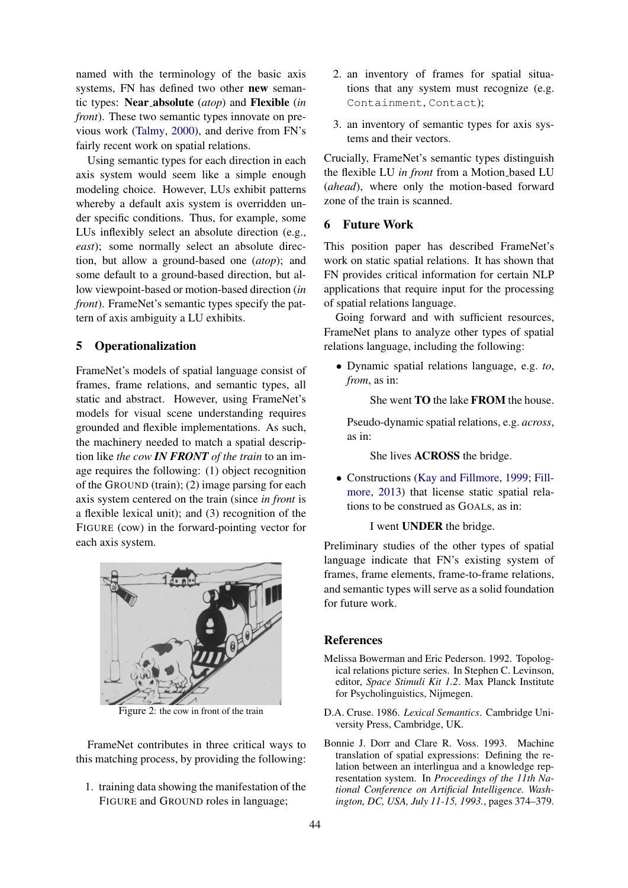named with the terminology of the basic axis systems, FN has defined two other new semantic types: Near absolute (*atop*) and Flexible (*in front*). These two semantic types innovate on previous work (Talmy, 2000), and derive from FN's fairly recent work on spatial relations.

Using semantic types for each direction in each axis system would seem like a simple enough modeling choice. However, LUs exhibit patterns whereby a default axis system is overridden under specific conditions. Thus, for example, some LUs inflexibly select an absolute direction (e.g., *east*); some normally select an absolute direction, but allow a ground-based one (*atop*); and some default to a ground-based direction, but allow viewpoint-based or motion-based direction (*in front*). FrameNet's semantic types specify the pattern of axis ambiguity a LU exhibits.

#### 5 Operationalization

FrameNet's models of spatial language consist of frames, frame relations, and semantic types, all static and abstract. However, using FrameNet's models for visual scene understanding requires grounded and flexible implementations. As such, the machinery needed to match a spatial description like *the cow IN FRONT of the train* to an image requires the following: (1) object recognition of the GROUND (train); (2) image parsing for each axis system centered on the train (since *in front* is a flexible lexical unit); and (3) recognition of the FIGURE (cow) in the forward-pointing vector for each axis system.



Figure 2: the cow in front of the train

FrameNet contributes in three critical ways to this matching process, by providing the following:

1. training data showing the manifestation of the FIGURE and GROUND roles in language;

- 2. an inventory of frames for spatial situations that any system must recognize (e.g. Containment, Contact);
- 3. an inventory of semantic types for axis systems and their vectors.

Crucially, FrameNet's semantic types distinguish the flexible LU *in front* from a Motion based LU (*ahead*), where only the motion-based forward zone of the train is scanned.

### 6 Future Work

This position paper has described FrameNet's work on static spatial relations. It has shown that FN provides critical information for certain NLP applications that require input for the processing of spatial relations language.

Going forward and with sufficient resources, FrameNet plans to analyze other types of spatial relations language, including the following:

• Dynamic spatial relations language, e.g. *to*, *from*, as in:

She went **TO** the lake **FROM** the house.

Pseudo-dynamic spatial relations, e.g. *across*, as in:

She lives ACROSS the bridge.

• Constructions (Kay and Fillmore, 1999; Fillmore, 2013) that license static spatial relations to be construed as GOALs, as in:

#### I went UNDER the bridge.

Preliminary studies of the other types of spatial language indicate that FN's existing system of frames, frame elements, frame-to-frame relations, and semantic types will serve as a solid foundation for future work.

### References

- Melissa Bowerman and Eric Pederson. 1992. Topological relations picture series. In Stephen C. Levinson, editor, *Space Stimuli Kit 1.2*. Max Planck Institute for Psycholinguistics, Nijmegen.
- D.A. Cruse. 1986. *Lexical Semantics*. Cambridge University Press, Cambridge, UK.
- Bonnie J. Dorr and Clare R. Voss. 1993. Machine translation of spatial expressions: Defining the relation between an interlingua and a knowledge representation system. In *Proceedings of the 11th National Conference on Artificial Intelligence. Washington, DC, USA, July 11-15, 1993.*, pages 374–379.